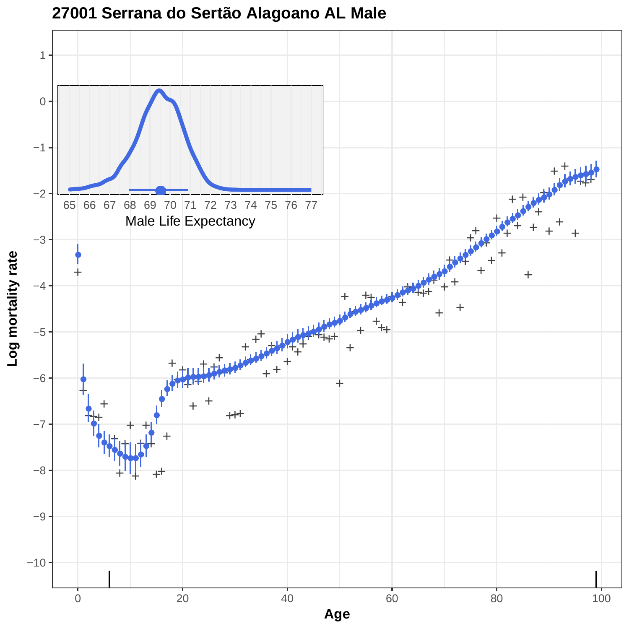

# **27001 Serrana do Sertão Alagoano AL Male**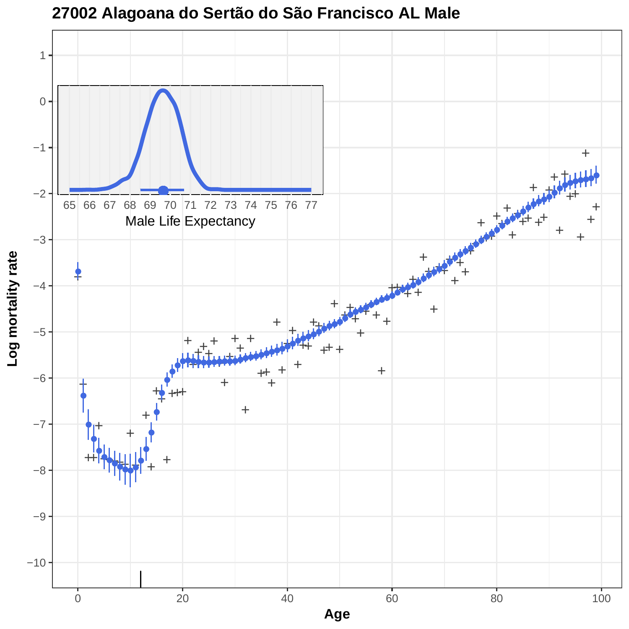

# **27002 Alagoana do Sertão do São Francisco AL Male**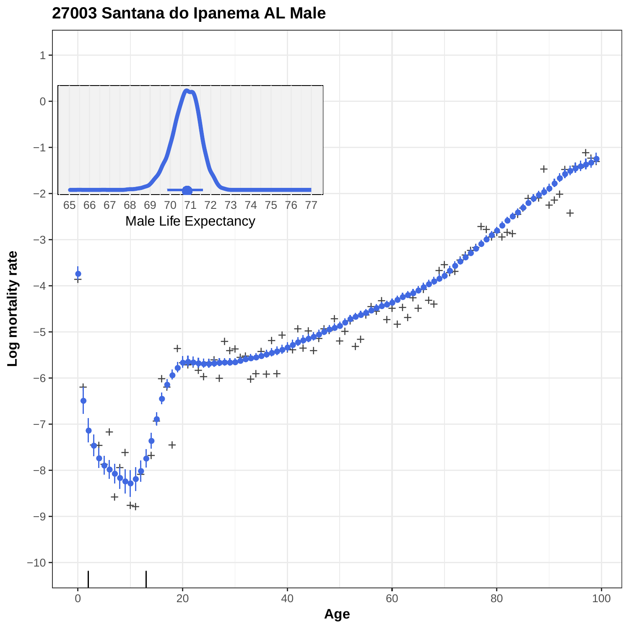

**27003 Santana do Ipanema AL Male**

**Log mortality rate**

**Age**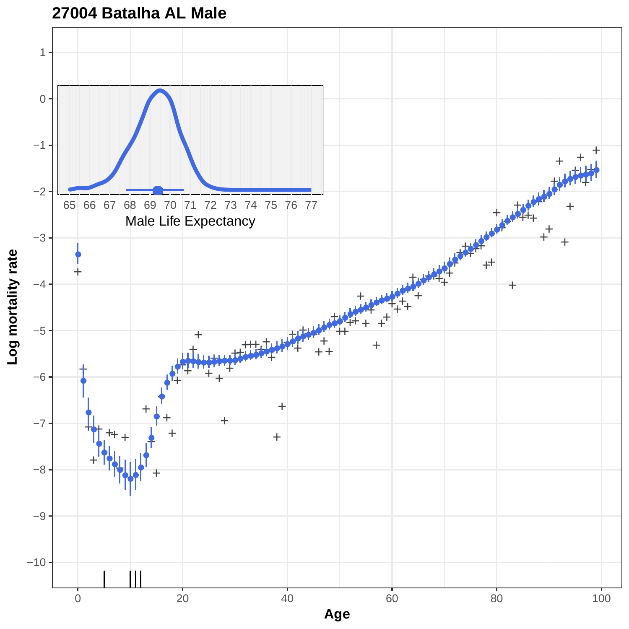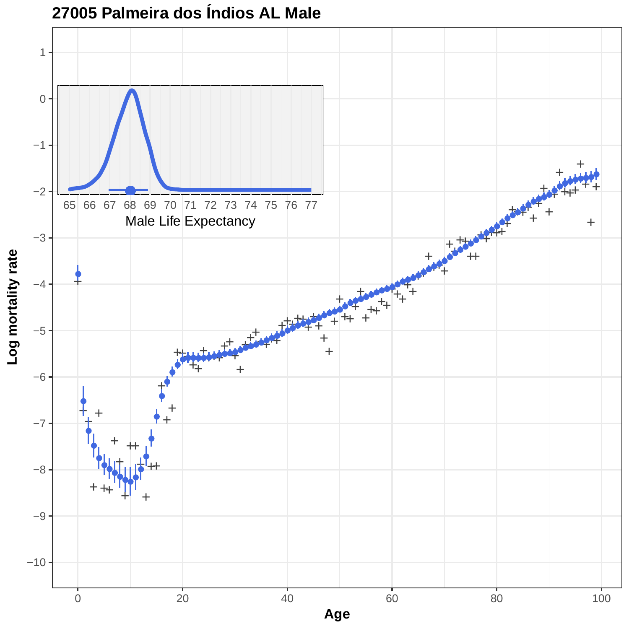

# **27005 Palmeira dos Índios AL Male**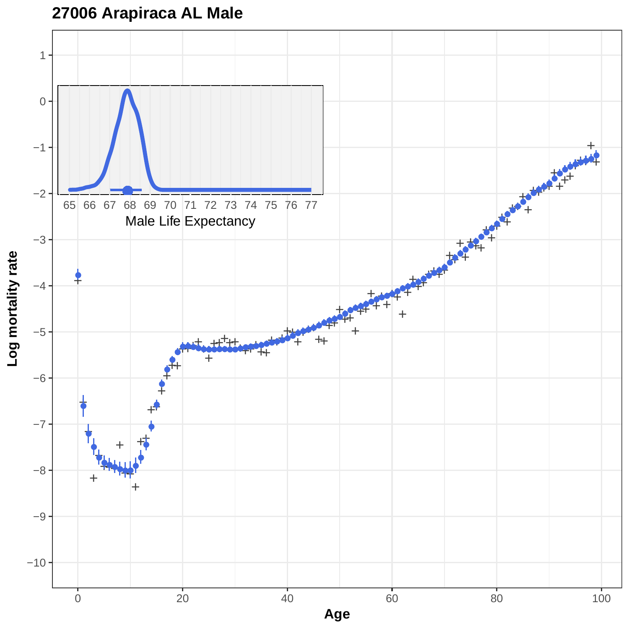**27006 Arapiraca AL Male**

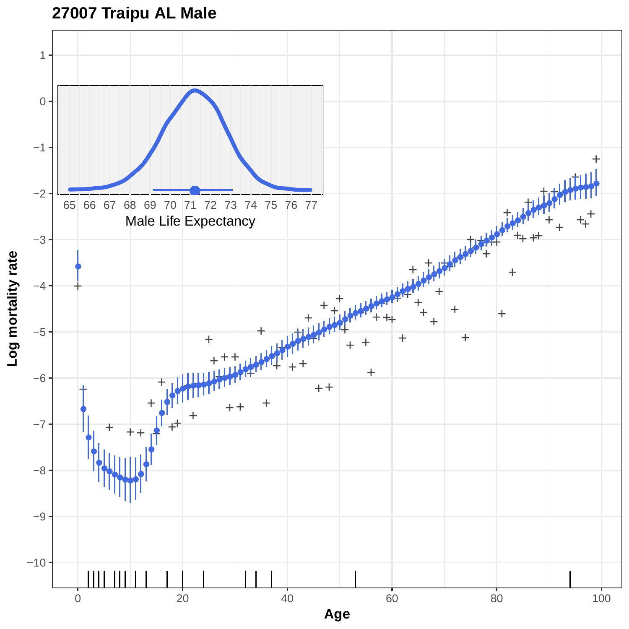

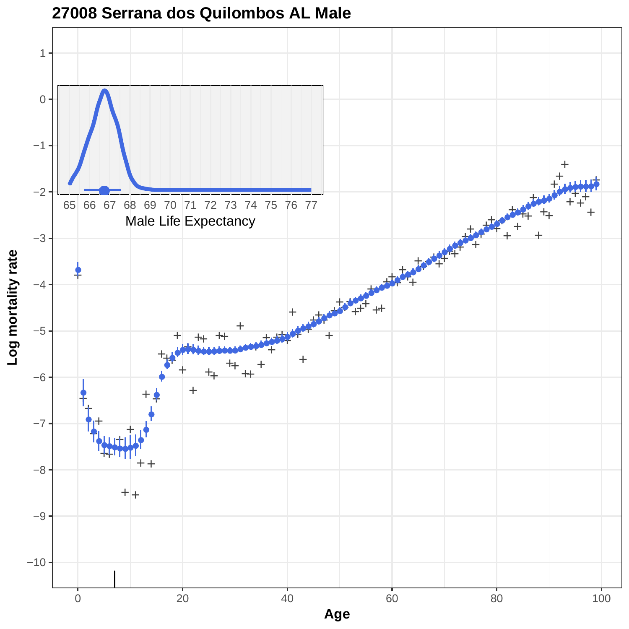

**27008 Serrana dos Quilombos AL Male**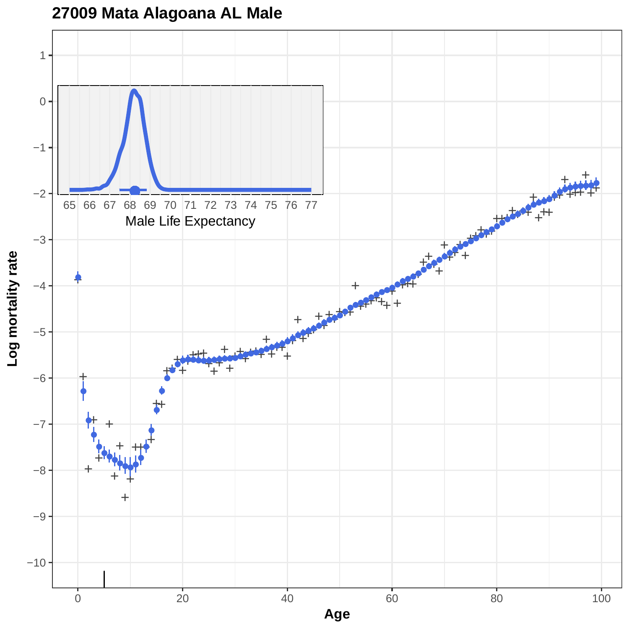# **27009 Mata Alagoana AL Male**

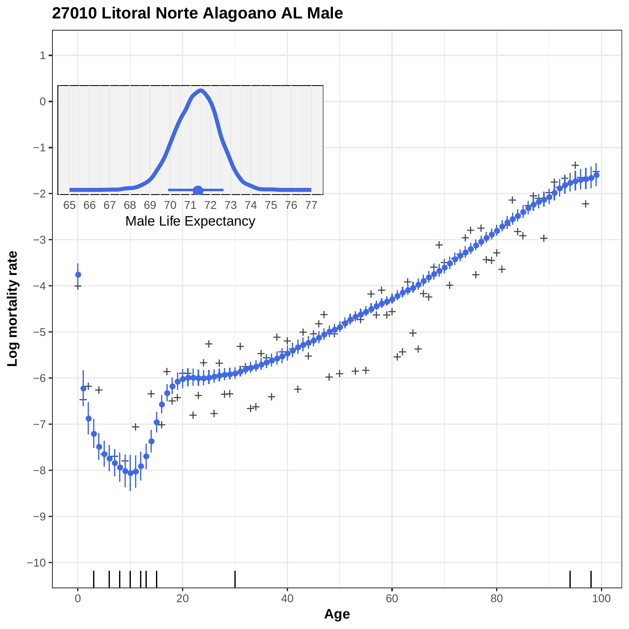

**27010 Litoral Norte Alagoano AL Male**

**Age**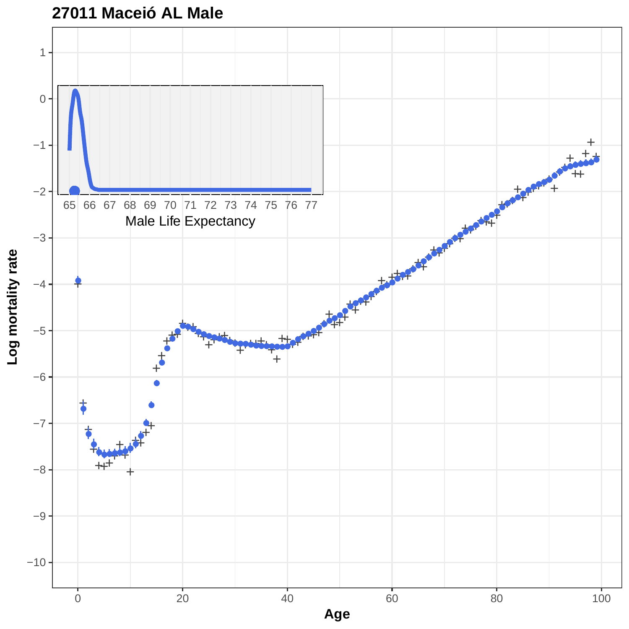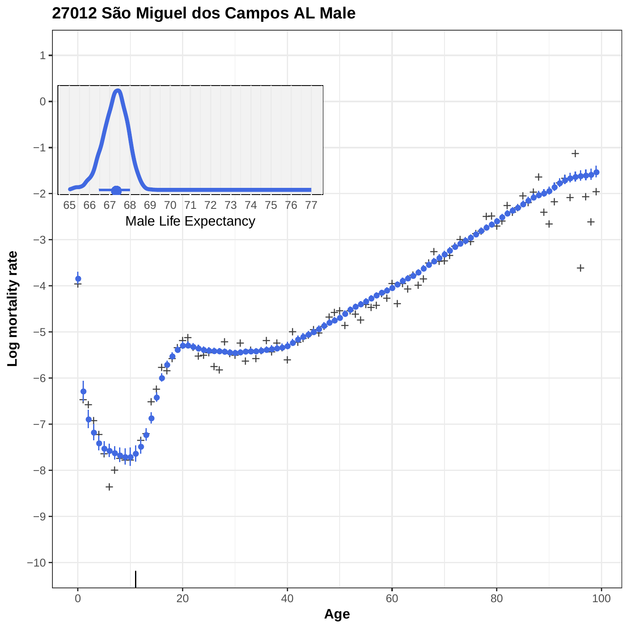

# **27012 São Miguel dos Campos AL Male**